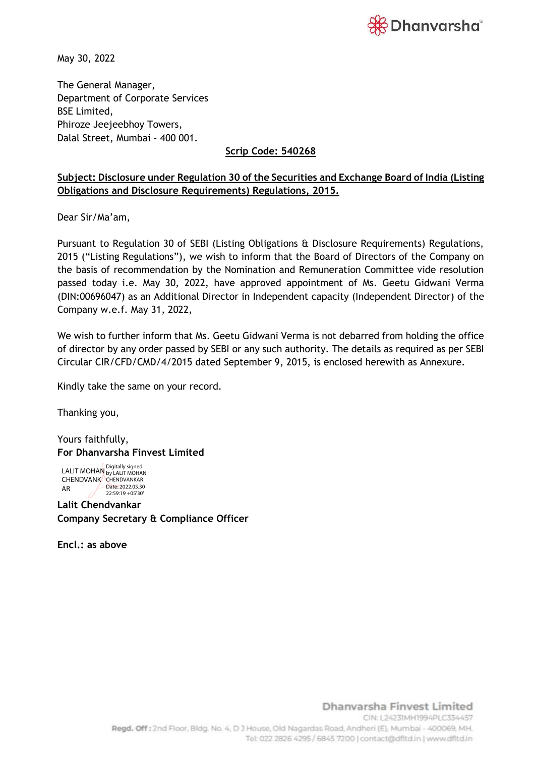

May 30, 2022

The General Manager, Department of Corporate Services BSE Limited, Phiroze Jeejeebhoy Towers, Dalal Street, Mumbai - 400 001.

## **Scrip Code: 540268**

## **Subject: Disclosure under Regulation 30 of the Securities and Exchange Board of India (Listing Obligations and Disclosure Requirements) Regulations, 2015.**

Dear Sir/Ma'am,

Pursuant to Regulation 30 of SEBI (Listing Obligations & Disclosure Requirements) Regulations, 2015 ("Listing Regulations"), we wish to inform that the Board of Directors of the Company on the basis of recommendation by the Nomination and Remuneration Committee vide resolution passed today i.e. May 30, 2022, have approved appointment of Ms. Geetu Gidwani Verma (DIN:00696047) as an Additional Director in Independent capacity (Independent Director) of the Company w.e.f. May 31, 2022,

We wish to further inform that Ms. Geetu Gidwani Verma is not debarred from holding the office of director by any order passed by SEBI or any such authority. The details as required as per SEBI Circular CIR/CFD/CMD/4/2015 dated September 9, 2015, is enclosed herewith as Annexure.

Kindly take the same on your record.

Thanking you,

Yours faithfully, **For Dhanvarsha Finvest Limited**

LALIT MOHAN Digitally signed<br>LALIT MOHAN <sub>by LALIT MOHAN</sub> CHENDVANK CHENDVANKAR AR Date: 2022.05.30 22:59:19 +05'30'

**Lalit Chendvankar Company Secretary & Compliance Officer**

**Encl.: as above**